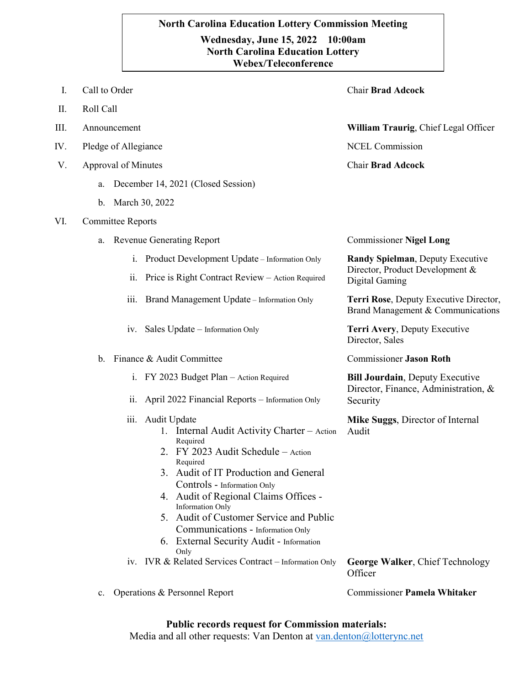## **`.0 Webex/TeleconferenceNorth Carolina Education Lottery Commission Meeting Wednesday, June 15, 2022 10:00am North Carolina Education Lottery**

- I. Call to Order Chair **Brad Adcock** II. Roll Call III. Announcement **William Traurig**, Chief Legal Officer IV. Pledge of Allegiance NCEL Commission V. Approval of Minutes a. December 14, 2021 (Closed Session) b. March 30, 2022 Chair **Brad Adcock** VI. Committee Reports a. Revenue Generating Report Commissioner **Nigel Long** i. Product Development Update – Information Only ii. Price is Right Contract Review – Action Required **Randy Spielman**, Deputy Executive Director, Product Development & Digital Gaming iii. Brand Management Update – Information Only **Terri Rose**, Deputy Executive Director, Brand Management & Communications iv. Sales Update – Information Only **Terri Avery**, Deputy Executive Director, Sales b. Finance & Audit Committee Commissioner **Jason Roth** i. FY 2023 Budget Plan – Action Required ii. April 2022 Financial Reports – Information Only **Bill Jourdain**, Deputy Executive Director, Finance, Administration, & Security iii. Audit Update 1. Internal Audit Activity Charter – Action Required 2. FY 2023 Audit Schedule – Action Required 3. Audit of IT Production and General Controls - Information Only 4. Audit of Regional Claims Offices - Information Only 5. Audit of Customer Service and Public Communications - Information Only 6. External Security Audit - Information Only **Mike Suggs**, Director of Internal Audit iv. IVR & Related Services Contract – Information Only **George Walker**, Chief Technology **Officer** 
	- c. Operations & Personnel Report Commissioner **Pamela Whitaker**

## **Public records request for Commission materials:**

Media and all other requests: Van Denton at [van.denton@lotterync.net](mailto:van.denton@lotterync.net)